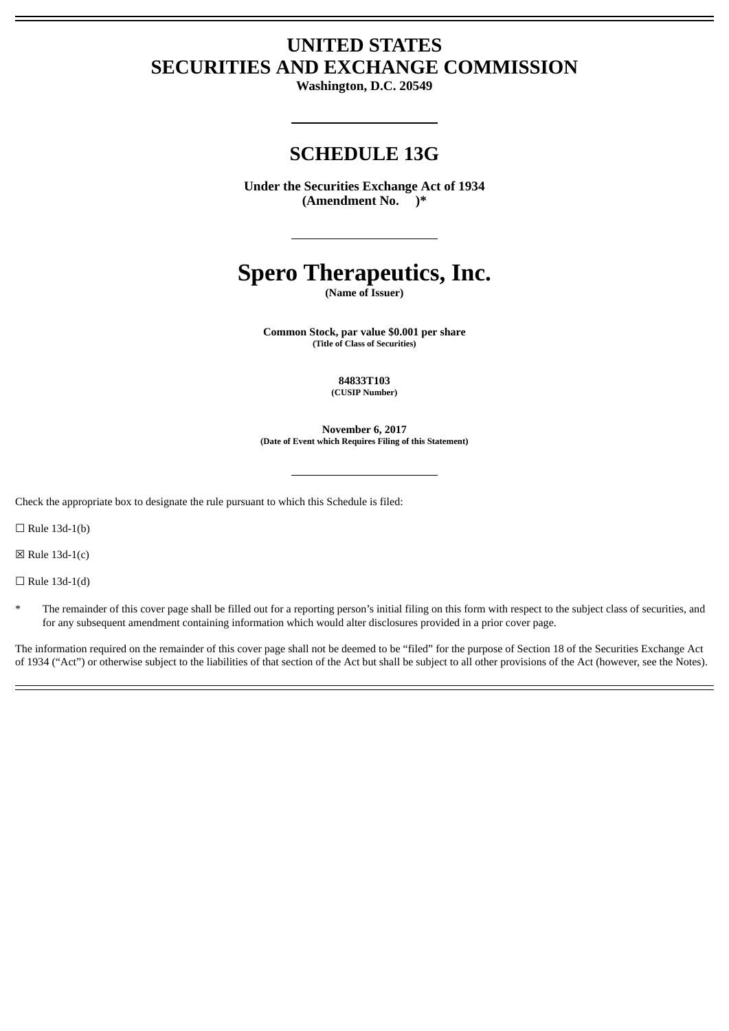# **UNITED STATES SECURITIES AND EXCHANGE COMMISSION**

**Washington, D.C. 20549**

# **SCHEDULE 13G**

**Under the Securities Exchange Act of 1934 (Amendment No. )\***

# **Spero Therapeutics, Inc.**

**(Name of Issuer)**

**Common Stock, par value \$0.001 per share (Title of Class of Securities)**

> **84833T103 (CUSIP Number)**

**November 6, 2017 (Date of Event which Requires Filing of this Statement)**

Check the appropriate box to designate the rule pursuant to which this Schedule is filed:

 $\Box$  Rule 13d-1(b)

 $\boxtimes$  Rule 13d-1(c)

 $\Box$  Rule 13d-1(d)

The remainder of this cover page shall be filled out for a reporting person's initial filing on this form with respect to the subject class of securities, and for any subsequent amendment containing information which would alter disclosures provided in a prior cover page.

The information required on the remainder of this cover page shall not be deemed to be "filed" for the purpose of Section 18 of the Securities Exchange Act of 1934 ("Act") or otherwise subject to the liabilities of that section of the Act but shall be subject to all other provisions of the Act (however, see the Notes).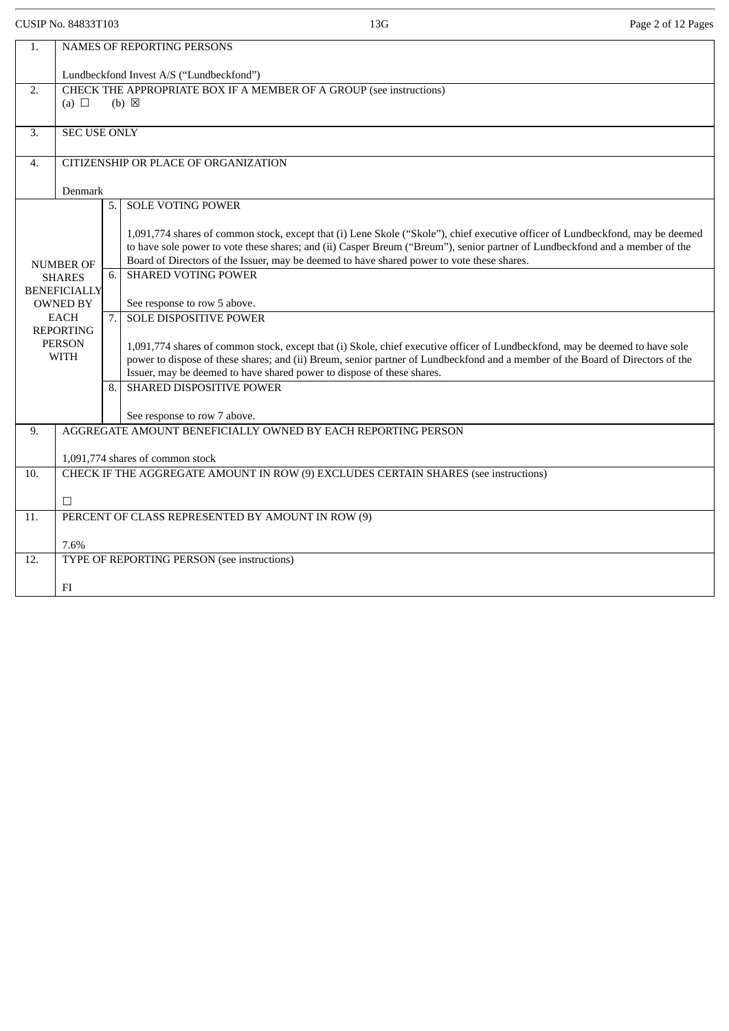CUSIP No. 84833T103 Page 2 of 12 Pages

| 1.                                | NAMES OF REPORTING PERSONS                                                                                              |    |                                                                                                                                                                                                                            |  |  |  |
|-----------------------------------|-------------------------------------------------------------------------------------------------------------------------|----|----------------------------------------------------------------------------------------------------------------------------------------------------------------------------------------------------------------------------|--|--|--|
|                                   | Lundbeckfond Invest A/S ("Lundbeckfond")                                                                                |    |                                                                                                                                                                                                                            |  |  |  |
| 2.                                | CHECK THE APPROPRIATE BOX IF A MEMBER OF A GROUP (see instructions)                                                     |    |                                                                                                                                                                                                                            |  |  |  |
|                                   | (a) $\Box$                                                                                                              |    | $(b) \boxtimes$                                                                                                                                                                                                            |  |  |  |
| 3.                                | <b>SEC USE ONLY</b>                                                                                                     |    |                                                                                                                                                                                                                            |  |  |  |
| 4.                                |                                                                                                                         |    |                                                                                                                                                                                                                            |  |  |  |
|                                   | CITIZENSHIP OR PLACE OF ORGANIZATION                                                                                    |    |                                                                                                                                                                                                                            |  |  |  |
|                                   | Denmark                                                                                                                 |    |                                                                                                                                                                                                                            |  |  |  |
|                                   |                                                                                                                         | 5. | <b>SOLE VOTING POWER</b>                                                                                                                                                                                                   |  |  |  |
|                                   |                                                                                                                         |    | 1,091,774 shares of common stock, except that (i) Lene Skole ("Skole"), chief executive officer of Lundbeckfond, may be deemed                                                                                             |  |  |  |
|                                   |                                                                                                                         |    | to have sole power to vote these shares; and (ii) Casper Breum ("Breum"), senior partner of Lundbeckfond and a member of the<br>Board of Directors of the Issuer, may be deemed to have shared power to vote these shares. |  |  |  |
| <b>NUMBER OF</b><br><b>SHARES</b> |                                                                                                                         | 6. | <b>SHARED VOTING POWER</b>                                                                                                                                                                                                 |  |  |  |
| <b>BENEFICIALLY</b>               |                                                                                                                         |    |                                                                                                                                                                                                                            |  |  |  |
| <b>OWNED BY</b><br><b>EACH</b>    |                                                                                                                         | 7. | See response to row 5 above.<br><b>SOLE DISPOSITIVE POWER</b>                                                                                                                                                              |  |  |  |
|                                   | <b>REPORTING</b>                                                                                                        |    |                                                                                                                                                                                                                            |  |  |  |
|                                   | <b>PERSON</b><br><b>WITH</b>                                                                                            |    | 1,091,774 shares of common stock, except that (i) Skole, chief executive officer of Lundbeckfond, may be deemed to have sole                                                                                               |  |  |  |
|                                   |                                                                                                                         |    | power to dispose of these shares; and (ii) Breum, senior partner of Lundbeckfond and a member of the Board of Directors of the<br>Issuer, may be deemed to have shared power to dispose of these shares.                   |  |  |  |
|                                   |                                                                                                                         | 8. | SHARED DISPOSITIVE POWER                                                                                                                                                                                                   |  |  |  |
|                                   |                                                                                                                         |    | See response to row 7 above.                                                                                                                                                                                               |  |  |  |
| 9.                                |                                                                                                                         |    | AGGREGATE AMOUNT BENEFICIALLY OWNED BY EACH REPORTING PERSON                                                                                                                                                               |  |  |  |
|                                   |                                                                                                                         |    |                                                                                                                                                                                                                            |  |  |  |
| 10.                               | 1,091,774 shares of common stock<br>CHECK IF THE AGGREGATE AMOUNT IN ROW (9) EXCLUDES CERTAIN SHARES (see instructions) |    |                                                                                                                                                                                                                            |  |  |  |
|                                   |                                                                                                                         |    |                                                                                                                                                                                                                            |  |  |  |
|                                   | □                                                                                                                       |    |                                                                                                                                                                                                                            |  |  |  |
| 11.                               | PERCENT OF CLASS REPRESENTED BY AMOUNT IN ROW (9)                                                                       |    |                                                                                                                                                                                                                            |  |  |  |
|                                   | 7.6%                                                                                                                    |    |                                                                                                                                                                                                                            |  |  |  |
| 12.                               | TYPE OF REPORTING PERSON (see instructions)                                                                             |    |                                                                                                                                                                                                                            |  |  |  |
|                                   | FI                                                                                                                      |    |                                                                                                                                                                                                                            |  |  |  |
|                                   |                                                                                                                         |    |                                                                                                                                                                                                                            |  |  |  |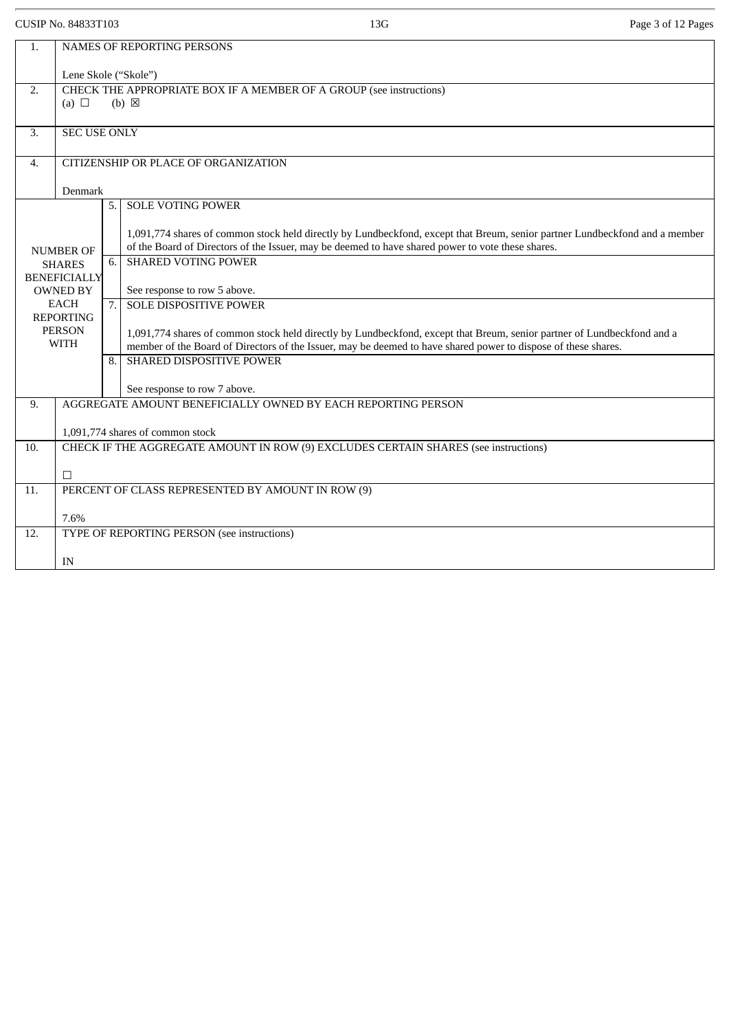CUSIP No. 84833T103 Page 3 of 12 Pages

| 1.                                               | NAMES OF REPORTING PERSONS                                                          |    |                                                                                                                                                                                                                                           |  |  |  |  |
|--------------------------------------------------|-------------------------------------------------------------------------------------|----|-------------------------------------------------------------------------------------------------------------------------------------------------------------------------------------------------------------------------------------------|--|--|--|--|
|                                                  | Lene Skole ("Skole")                                                                |    |                                                                                                                                                                                                                                           |  |  |  |  |
| 2.                                               | CHECK THE APPROPRIATE BOX IF A MEMBER OF A GROUP (see instructions)                 |    |                                                                                                                                                                                                                                           |  |  |  |  |
|                                                  | (a) $\Box$<br>$(b) \boxtimes$                                                       |    |                                                                                                                                                                                                                                           |  |  |  |  |
| 3.                                               | <b>SEC USE ONLY</b>                                                                 |    |                                                                                                                                                                                                                                           |  |  |  |  |
| $\overline{4}$ .                                 | CITIZENSHIP OR PLACE OF ORGANIZATION                                                |    |                                                                                                                                                                                                                                           |  |  |  |  |
|                                                  | Denmark                                                                             |    |                                                                                                                                                                                                                                           |  |  |  |  |
|                                                  |                                                                                     | 5. | <b>SOLE VOTING POWER</b>                                                                                                                                                                                                                  |  |  |  |  |
|                                                  | <b>NUMBER OF</b>                                                                    |    | 1,091,774 shares of common stock held directly by Lundbeckfond, except that Breum, senior partner Lundbeckfond and a member<br>of the Board of Directors of the Issuer, may be deemed to have shared power to vote these shares.          |  |  |  |  |
|                                                  | <b>SHARES</b>                                                                       | 6. | <b>SHARED VOTING POWER</b>                                                                                                                                                                                                                |  |  |  |  |
| <b>BENEFICIALLY</b><br><b>OWNED BY</b>           |                                                                                     |    | See response to row 5 above.                                                                                                                                                                                                              |  |  |  |  |
|                                                  | <b>EACH</b>                                                                         | 7. | <b>SOLE DISPOSITIVE POWER</b>                                                                                                                                                                                                             |  |  |  |  |
| <b>REPORTING</b><br><b>PERSON</b><br><b>WITH</b> |                                                                                     |    | 1,091,774 shares of common stock held directly by Lundbeckfond, except that Breum, senior partner of Lundbeckfond and a<br>member of the Board of Directors of the Issuer, may be deemed to have shared power to dispose of these shares. |  |  |  |  |
|                                                  |                                                                                     | 8. | SHARED DISPOSITIVE POWER                                                                                                                                                                                                                  |  |  |  |  |
|                                                  |                                                                                     |    | See response to row 7 above.                                                                                                                                                                                                              |  |  |  |  |
| 9.                                               | AGGREGATE AMOUNT BENEFICIALLY OWNED BY EACH REPORTING PERSON                        |    |                                                                                                                                                                                                                                           |  |  |  |  |
|                                                  | 1,091,774 shares of common stock                                                    |    |                                                                                                                                                                                                                                           |  |  |  |  |
| 10.                                              | CHECK IF THE AGGREGATE AMOUNT IN ROW (9) EXCLUDES CERTAIN SHARES (see instructions) |    |                                                                                                                                                                                                                                           |  |  |  |  |
|                                                  | □                                                                                   |    |                                                                                                                                                                                                                                           |  |  |  |  |
| 11.                                              | PERCENT OF CLASS REPRESENTED BY AMOUNT IN ROW (9)                                   |    |                                                                                                                                                                                                                                           |  |  |  |  |
|                                                  | 7.6%                                                                                |    |                                                                                                                                                                                                                                           |  |  |  |  |
| 12.                                              | TYPE OF REPORTING PERSON (see instructions)                                         |    |                                                                                                                                                                                                                                           |  |  |  |  |
|                                                  |                                                                                     |    |                                                                                                                                                                                                                                           |  |  |  |  |
|                                                  | IN                                                                                  |    |                                                                                                                                                                                                                                           |  |  |  |  |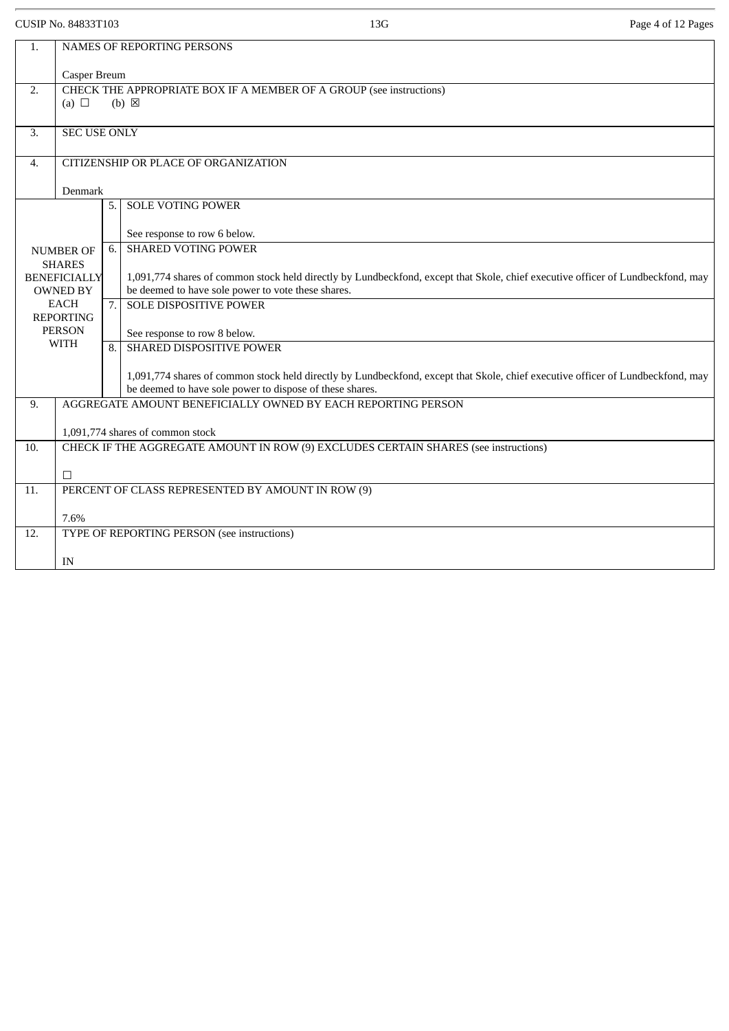CUSIP No. 84833T103 13G Page 4 of 12 Pages

| NAMES OF REPORTING PERSONS<br>1. |                                                                                                      |    |                                                                                                                                                                                             |  |  |  |
|----------------------------------|------------------------------------------------------------------------------------------------------|----|---------------------------------------------------------------------------------------------------------------------------------------------------------------------------------------------|--|--|--|
|                                  | Casper Breum                                                                                         |    |                                                                                                                                                                                             |  |  |  |
| 2.                               | CHECK THE APPROPRIATE BOX IF A MEMBER OF A GROUP (see instructions)<br>(a) $\Box$<br>$(b) \boxtimes$ |    |                                                                                                                                                                                             |  |  |  |
| 3.                               | <b>SEC USE ONLY</b>                                                                                  |    |                                                                                                                                                                                             |  |  |  |
| 4.                               | CITIZENSHIP OR PLACE OF ORGANIZATION                                                                 |    |                                                                                                                                                                                             |  |  |  |
|                                  | Denmark                                                                                              |    |                                                                                                                                                                                             |  |  |  |
|                                  |                                                                                                      | 5. | <b>SOLE VOTING POWER</b>                                                                                                                                                                    |  |  |  |
|                                  |                                                                                                      |    | See response to row 6 below.                                                                                                                                                                |  |  |  |
|                                  | <b>NUMBER OF</b>                                                                                     |    | <b>SHARED VOTING POWER</b>                                                                                                                                                                  |  |  |  |
|                                  | <b>SHARES</b><br><b>BENEFICIALLY</b>                                                                 |    | 1,091,774 shares of common stock held directly by Lundbeckfond, except that Skole, chief executive officer of Lundbeckfond, may                                                             |  |  |  |
| <b>OWNED BY</b>                  |                                                                                                      |    | be deemed to have sole power to vote these shares.                                                                                                                                          |  |  |  |
| <b>EACH</b><br><b>REPORTING</b>  |                                                                                                      | 7. | <b>SOLE DISPOSITIVE POWER</b>                                                                                                                                                               |  |  |  |
|                                  | <b>PERSON</b>                                                                                        |    | See response to row 8 below.                                                                                                                                                                |  |  |  |
|                                  | <b>WITH</b>                                                                                          | 8. | SHARED DISPOSITIVE POWER                                                                                                                                                                    |  |  |  |
|                                  |                                                                                                      |    | 1,091,774 shares of common stock held directly by Lundbeckfond, except that Skole, chief executive officer of Lundbeckfond, may<br>be deemed to have sole power to dispose of these shares. |  |  |  |
| 9.                               | AGGREGATE AMOUNT BENEFICIALLY OWNED BY EACH REPORTING PERSON                                         |    |                                                                                                                                                                                             |  |  |  |
|                                  | 1,091,774 shares of common stock                                                                     |    |                                                                                                                                                                                             |  |  |  |
| 10.                              | CHECK IF THE AGGREGATE AMOUNT IN ROW (9) EXCLUDES CERTAIN SHARES (see instructions)                  |    |                                                                                                                                                                                             |  |  |  |
|                                  | $\Box$                                                                                               |    |                                                                                                                                                                                             |  |  |  |
| 11.                              | PERCENT OF CLASS REPRESENTED BY AMOUNT IN ROW (9)                                                    |    |                                                                                                                                                                                             |  |  |  |
|                                  | 7.6%                                                                                                 |    |                                                                                                                                                                                             |  |  |  |
| 12.                              | TYPE OF REPORTING PERSON (see instructions)                                                          |    |                                                                                                                                                                                             |  |  |  |
|                                  | IN                                                                                                   |    |                                                                                                                                                                                             |  |  |  |
|                                  |                                                                                                      |    |                                                                                                                                                                                             |  |  |  |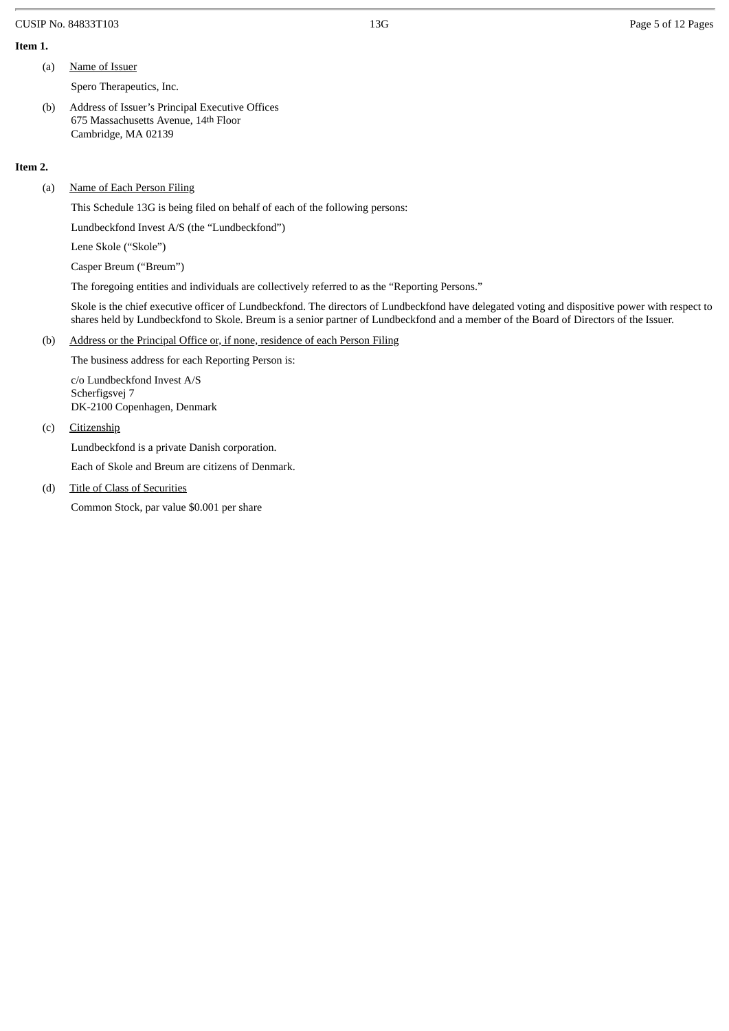#### CUSIP No. 84833T103 2012 13G Page 5 of 12 Pages 5 of 12 Pages

### **Item 1.**

(a) Name of Issuer

Spero Therapeutics, Inc.

(b) Address of Issuer's Principal Executive Offices 675 Massachusetts Avenue, 14th Floor Cambridge, MA 02139

#### **Item 2.**

(a) Name of Each Person Filing

This Schedule 13G is being filed on behalf of each of the following persons:

Lundbeckfond Invest A/S (the "Lundbeckfond")

Lene Skole ("Skole")

Casper Breum ("Breum")

The foregoing entities and individuals are collectively referred to as the "Reporting Persons."

Skole is the chief executive officer of Lundbeckfond. The directors of Lundbeckfond have delegated voting and dispositive power with respect to shares held by Lundbeckfond to Skole. Breum is a senior partner of Lundbeckfond and a member of the Board of Directors of the Issuer.

## (b) Address or the Principal Office or, if none, residence of each Person Filing

The business address for each Reporting Person is: c/o Lundbeckfond Invest A/S

Scherfigsvej 7 DK-2100 Copenhagen, Denmark

## (c) Citizenship

Lundbeckfond is a private Danish corporation.

Each of Skole and Breum are citizens of Denmark.

(d) Title of Class of Securities

Common Stock, par value \$0.001 per share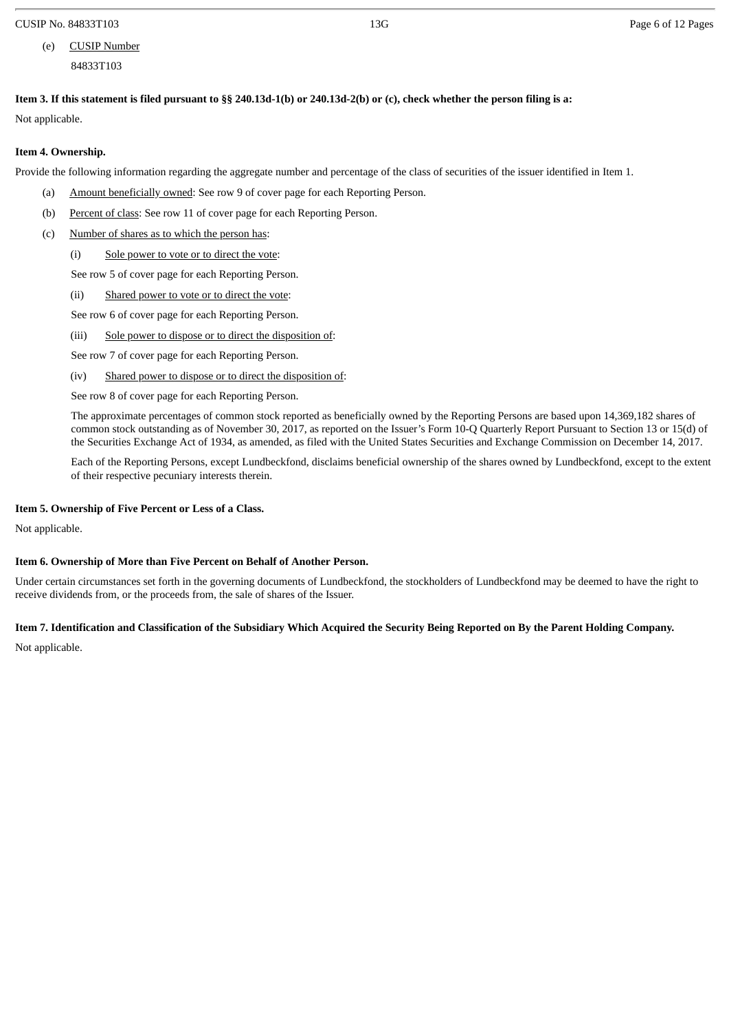CUSIP No. 84833T103 **Page 6 of 12 Pages**  $\overline{13G}$  and  $\overline{13G}$  **Page 6 of 12 Pages** 6 of 12 Pages

## (e) CUSIP Number 84833T103

Item 3. If this statement is filed pursuant to §§ 240.13d-1(b) or 240.13d-2(b) or (c), check whether the person filing is a:

Not applicable.

## **Item 4. Ownership.**

Provide the following information regarding the aggregate number and percentage of the class of securities of the issuer identified in Item 1.

- (a) Amount beneficially owned: See row 9 of cover page for each Reporting Person.
- (b) Percent of class: See row 11 of cover page for each Reporting Person.
- (c) Number of shares as to which the person has:
	- (i) Sole power to vote or to direct the vote:

See row 5 of cover page for each Reporting Person.

(ii) Shared power to vote or to direct the vote:

See row 6 of cover page for each Reporting Person.

(iii) Sole power to dispose or to direct the disposition of:

See row 7 of cover page for each Reporting Person.

(iv) Shared power to dispose or to direct the disposition of:

See row 8 of cover page for each Reporting Person.

The approximate percentages of common stock reported as beneficially owned by the Reporting Persons are based upon 14,369,182 shares of common stock outstanding as of November 30, 2017, as reported on the Issuer's Form 10-Q Quarterly Report Pursuant to Section 13 or 15(d) of the Securities Exchange Act of 1934, as amended, as filed with the United States Securities and Exchange Commission on December 14, 2017.

Each of the Reporting Persons, except Lundbeckfond, disclaims beneficial ownership of the shares owned by Lundbeckfond, except to the extent of their respective pecuniary interests therein.

## **Item 5. Ownership of Five Percent or Less of a Class.**

Not applicable.

## **Item 6. Ownership of More than Five Percent on Behalf of Another Person.**

Under certain circumstances set forth in the governing documents of Lundbeckfond, the stockholders of Lundbeckfond may be deemed to have the right to receive dividends from, or the proceeds from, the sale of shares of the Issuer.

## Item 7. Identification and Classification of the Subsidiary Which Acquired the Security Being Reported on By the Parent Holding Company.

Not applicable.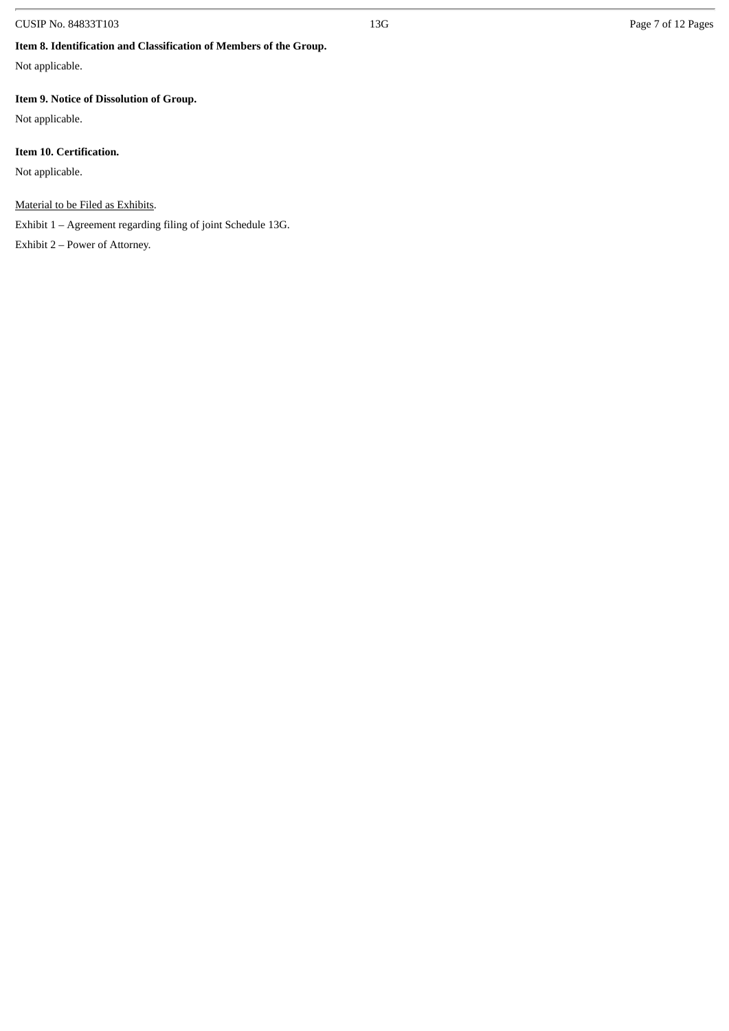## CUSIP No. 84833T103 Page 7 of 12 Pages

## **Item 8. Identification and Classification of Members of the Group.**

Not applicable.

## **Item 9. Notice of Dissolution of Group.**

Not applicable.

## **Item 10. Certification.**

Not applicable.

## Material to be Filed as Exhibits.

Exhibit 1 – Agreement regarding filing of joint Schedule 13G.

Exhibit 2 – Power of Attorney.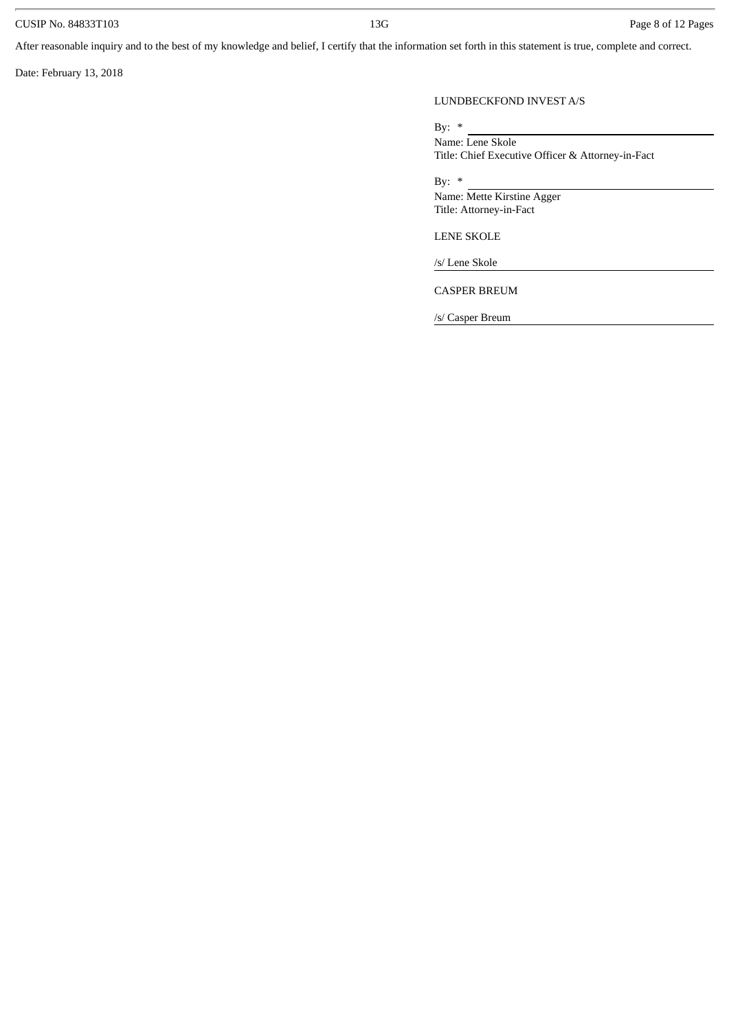## CUSIP No. 84833T103 Page 8 of 12 Pages

After reasonable inquiry and to the best of my knowledge and belief, I certify that the information set forth in this statement is true, complete and correct.

Date: February 13, 2018

## LUNDBECKFOND INVEST A/S

By: \*

Name: Lene Skole Title: Chief Executive Officer & Attorney-in-Fact

By:  $*$ 

Name: Mette Kirstine Agger Title: Attorney-in-Fact

LENE SKOLE

/s/ Lene Skole

CASPER BREUM

/s/ Casper Breum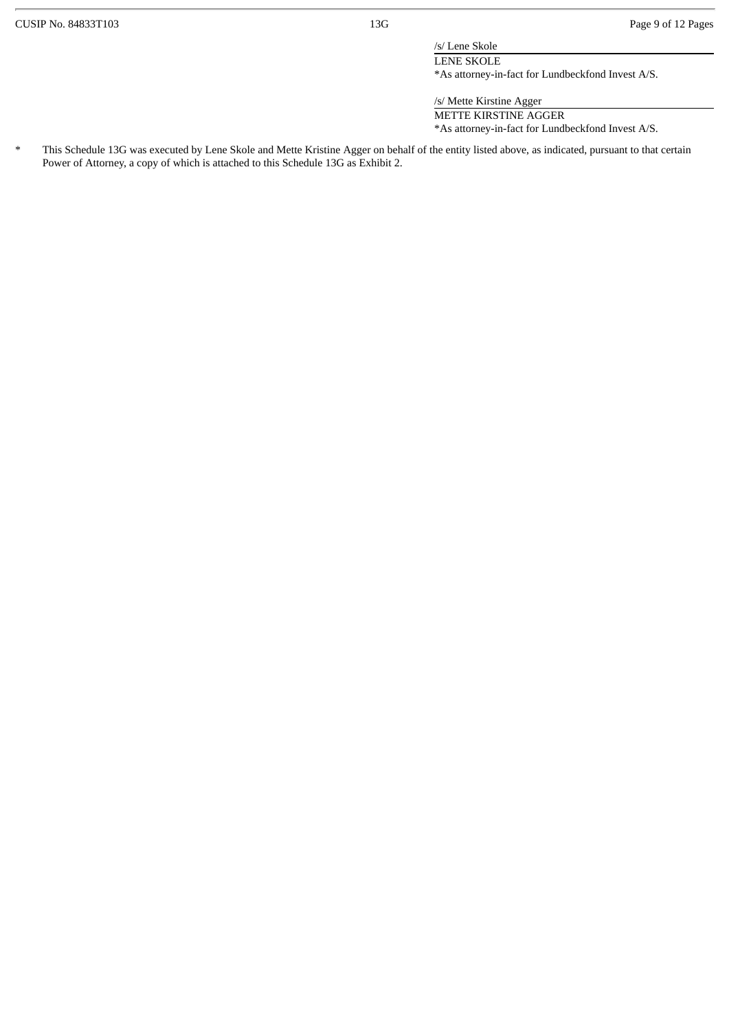/s/ Lene Skole

LENE SKOLE \*As attorney-in-fact for Lundbeckfond Invest A/S.

/s/ Mette Kirstine Agger

METTE KIRSTINE AGGER \*As attorney-in-fact for Lundbeckfond Invest A/S.

\* This Schedule 13G was executed by Lene Skole and Mette Kristine Agger on behalf of the entity listed above, as indicated, pursuant to that certain Power of Attorney, a copy of which is attached to this Schedule 13G as Exhibit 2.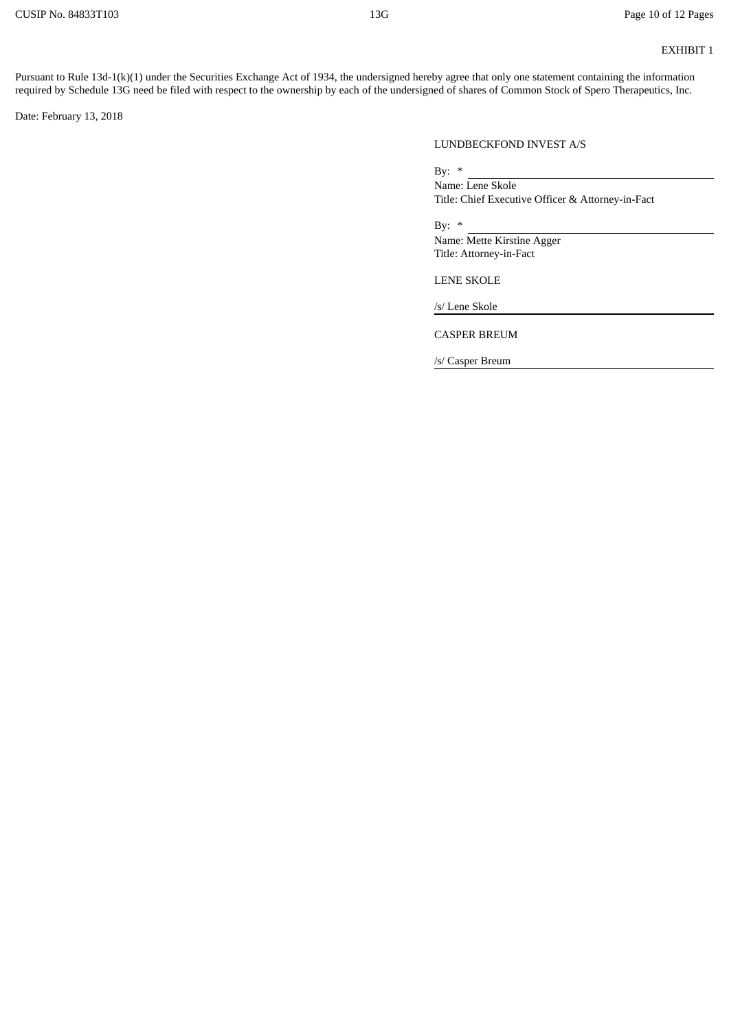## EXHIBIT 1

Pursuant to Rule 13d-1(k)(1) under the Securities Exchange Act of 1934, the undersigned hereby agree that only one statement containing the information required by Schedule 13G need be filed with respect to the ownership by each of the undersigned of shares of Common Stock of Spero Therapeutics, Inc.

Date: February 13, 2018

### LUNDBECKFOND INVEST A/S

By:  $*$ 

Name: Lene Skole Title: Chief Executive Officer & Attorney-in-Fact

By:  $*$ 

Name: Mette Kirstine Agger Title: Attorney-in-Fact

LENE SKOLE

/s/ Lene Skole

CASPER BREUM

/s/ Casper Breum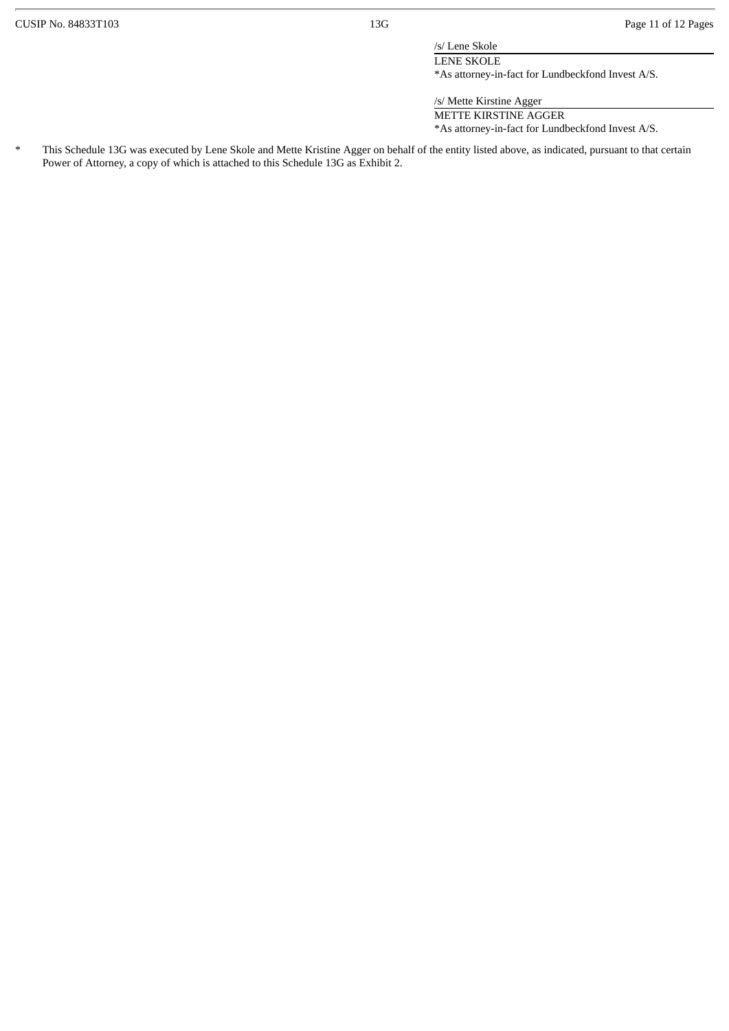/s/ Lene Skole

LENE SKOLE \*As attorney-in-fact for Lundbeckfond Invest A/S.

/s/ Mette Kirstine Agger

METTE KIRSTINE AGGER \*As attorney-in-fact for Lundbeckfond Invest A/S.

\* This Schedule 13G was executed by Lene Skole and Mette Kristine Agger on behalf of the entity listed above, as indicated, pursuant to that certain Power of Attorney, a copy of which is attached to this Schedule 13G as Exhibit 2.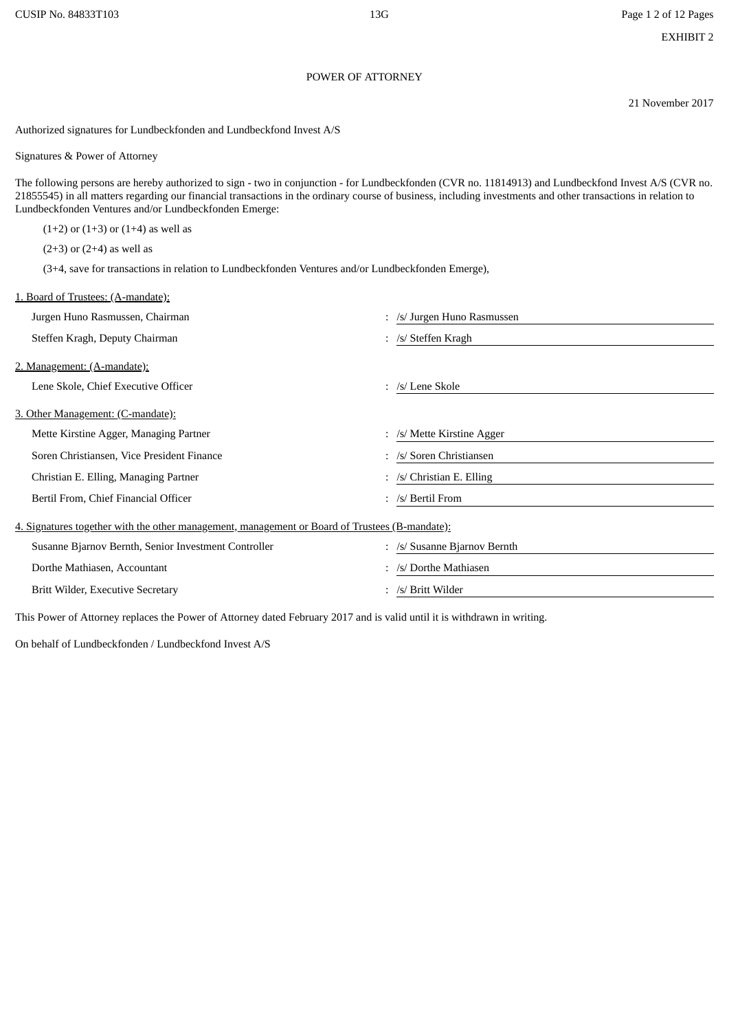#### POWER OF ATTORNEY

21 November 2017

Authorized signatures for Lundbeckfonden and Lundbeckfond Invest A/S

Signatures & Power of Attorney

The following persons are hereby authorized to sign - two in conjunction - for Lundbeckfonden (CVR no. 11814913) and Lundbeckfond Invest A/S (CVR no. 21855545) in all matters regarding our financial transactions in the ordinary course of business, including investments and other transactions in relation to Lundbeckfonden Ventures and/or Lundbeckfonden Emerge:

 $(1+2)$  or  $(1+3)$  or  $(1+4)$  as well as

 $(2+3)$  or  $(2+4)$  as well as

(3+4, save for transactions in relation to Lundbeckfonden Ventures and/or Lundbeckfonden Emerge),

| 1. Board of Trustees: (A-mandate):                                                             |                                       |  |  |  |  |
|------------------------------------------------------------------------------------------------|---------------------------------------|--|--|--|--|
| Jurgen Huno Rasmussen, Chairman                                                                | : /s/ Jurgen Huno Rasmussen           |  |  |  |  |
| Steffen Kragh, Deputy Chairman                                                                 | : /s/ Steffen Kragh                   |  |  |  |  |
| 2. Management: (A-mandate):                                                                    |                                       |  |  |  |  |
| Lene Skole, Chief Executive Officer                                                            | : /s/ Lene Skole                      |  |  |  |  |
| 3. Other Management: (C-mandate):                                                              |                                       |  |  |  |  |
| Mette Kirstine Agger, Managing Partner                                                         | $\therefore$ /s/ Mette Kirstine Agger |  |  |  |  |
| Soren Christiansen, Vice President Finance                                                     | : /s/ Soren Christiansen              |  |  |  |  |
| Christian E. Elling, Managing Partner                                                          | : /s/ Christian E. Elling             |  |  |  |  |
| Bertil From, Chief Financial Officer                                                           | : /s/ Bertil From                     |  |  |  |  |
| 4. Signatures together with the other management, management or Board of Trustees (B-mandate): |                                       |  |  |  |  |
| Susanne Bjarnov Bernth, Senior Investment Controller                                           | : /s/ Susanne Bjarnov Bernth          |  |  |  |  |
| Dorthe Mathiasen, Accountant                                                                   | : /s/ Dorthe Mathiasen                |  |  |  |  |
| Britt Wilder, Executive Secretary                                                              | : /s/ Britt Wilder                    |  |  |  |  |

This Power of Attorney replaces the Power of Attorney dated February 2017 and is valid until it is withdrawn in writing.

On behalf of Lundbeckfonden / Lundbeckfond Invest A/S